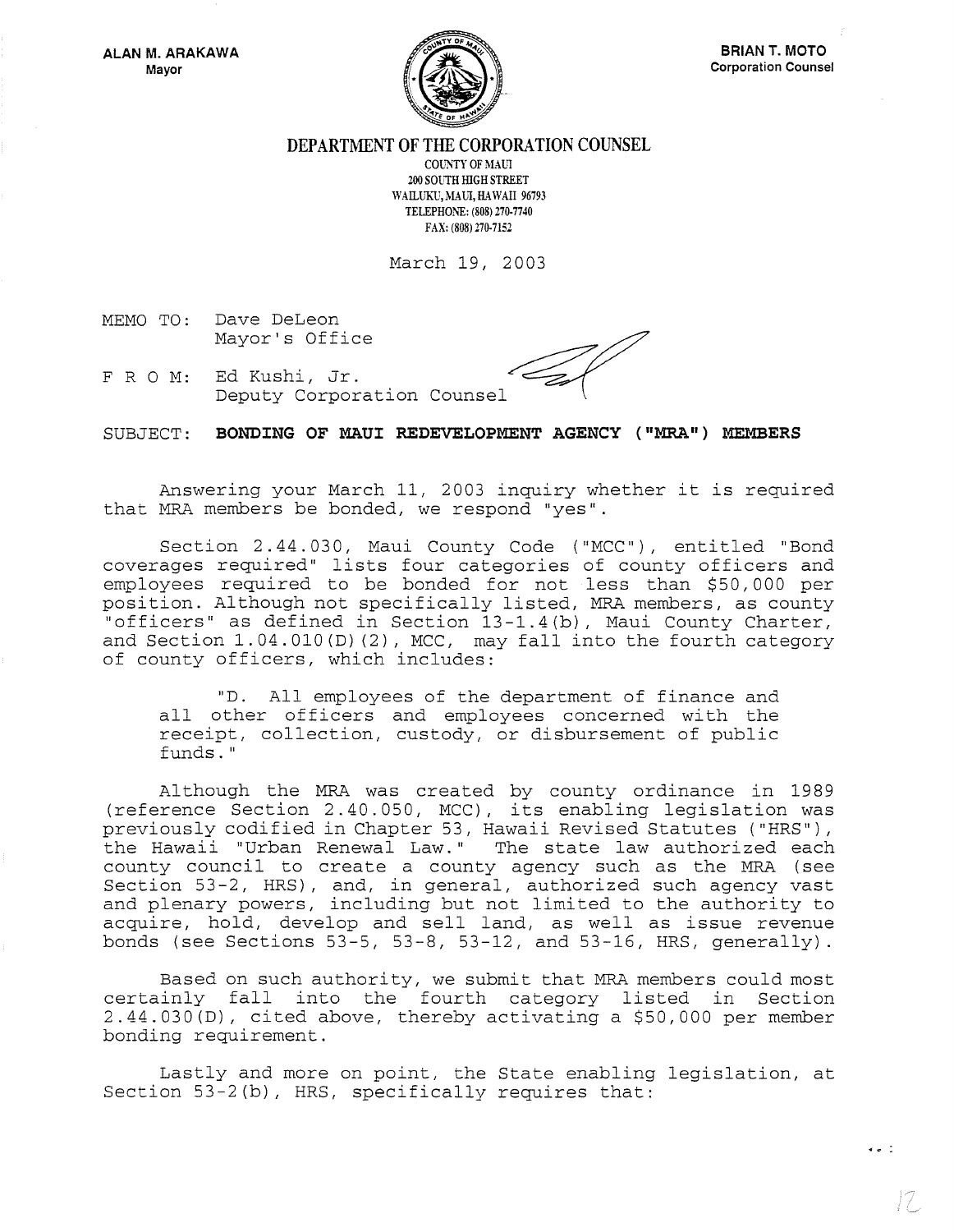

**DEPARTMENT OF THE CORPORATION COUNSEL** 

COUNTY OF MAUI 200 SOVTH HlGH STREET WAILUKU, MAUI, HAWAII 96793 TELEPHONE: (808) 270·7740 FAX: (808) 270-7152

March 19, 2003

MEMO TO: Dave DeLeon Mayor's Office

FRO M: Ed Kushi, Jr. Deputy Corporation Counsel

SUBJECT: **BONDING OF MAUI REDEVELOPMENT AGENCY ("MRA ") MEMBERS** 

Answering your March 11, 2003 inquiry whether it is required that MRA members be bonded, we respond "yes".

Section 2.44.030, Maui County Code ("MCC"), entitled "Bond coverages required" lists four categories of county officers and employees required to be bonded for not less than \$50,000 per position. Although not specifically listed, MRA members, as county "officers" as defined in Section 13-1.4(b), Maui County Charter, and Section 1.04.010(D) (2), MCC, may fall into the fourth category of county officers, which includes:

"D. All employees of the department of finance and all other officers and employees concerned with the receipt, collection, custody, or disbursement of public funds. "

Although the MRA was created by county ordinance in 1989 (reference Section 2.40.050, MCC) , its enabling legislation was previously codified in Chapter 53, Hawaii Revised Statutes ("HRS"), the Hawaii "Urban Renewal Law." The state law authorized each county council to create a county agency such as the MRA (see Section 53-2, HRS) , and, in general, authorized such agency vast and plenary powers, including but not limited to the authority to acquire, hold, develop and sell land, as well as issue revenue bonds (see Sections 53-5, 53-8, 53-12, and 53-16, HRS, generally).

Based on such authority, we submit that MRA members could most certainly fall into the fourth category listed in Section 2.44.030(D), cited above, thereby activating a \$50,000 per member bonding requirement.

Lastly and more on point, the State enabling legislation, at Section 53-2(b), HRS, specifically requires that:

 $\bullet$   $\bullet$   $\bullet$   $\bullet$